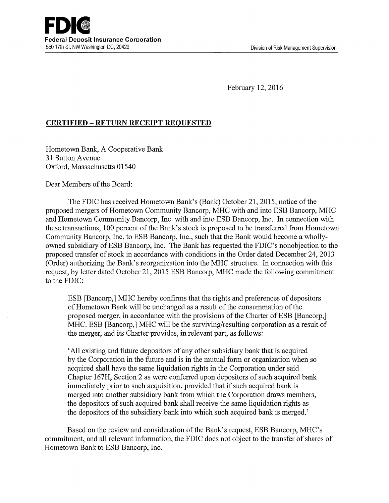

February 12, 2016

## **CERTIFIED- RETURN RECEIPT REQUESTED**

Hometown Bank, A Cooperative Bank 31 Sutton Avenue Oxford, Massachusetts 01540

Dear Members of the Board:

The FDIC has received Hometown Bank's (Bank) October 21, 2015, notice of the proposed mergers of Hometown Community Bancorp, MHC with and into ESB Bancorp, MHC and Hometown Community Bancorp, Inc. with and into ESB Bancorp, Inc. In connection with these transactions, 100 percent of the Bank's stock is proposed to be transferred from Hometown Community Bancorp, Inc. to ESB Bancorp, Inc., such that the Bank would become a whollyowned subsidiary ofESB Bancorp, Inc. The Bank has requested the FDIC's nonobjection to the proposed transfer of stock in accordance with conditions in the Order dated December 24, 2013 (Order) authorizing the Bank's reorganization into the MHC structure. In connection with this request, by letter dated October 21,2015 ESB Bancorp, MHC made the following commitment to the FDIC:

ESB [Bancorp,] MHC hereby confirms that the rights and preferences of depositors of Hometown Bank will be unchanged as a result of the consummation of the proposed merger, in accordance with the provisions of the Charter of ESB [Bancorp,] MHC. ESB [Bancorp,] MHC will be the surviving/resulting corporation as a result of the merger, and its Charter provides, in relevant part, as follows:

'All existing and future depositors of any other subsidiary bank that is acquired by the Corporation in the future and is in the mutual form or organization when so acquired shall have the same liquidation rights in the Corporation under said Chapter 167H, Section 2 as were conferred upon depositors of such acquired bank immediately prior to such acquisition, provided that if such acquired bank is merged into another subsidiary bank from which the Corporation draws members, the depositors of such acquired bank shall receive the same liquidation rights as the depositors of the subsidiary bank into which such acquired bank is merged.'

Based on the review and consideration of the Bank's request, ESB Bancorp, MHC's commitment, and all relevant information, the FDIC does not object to the transfer of shares of Hometown Bank to ESB Bancorp, Inc.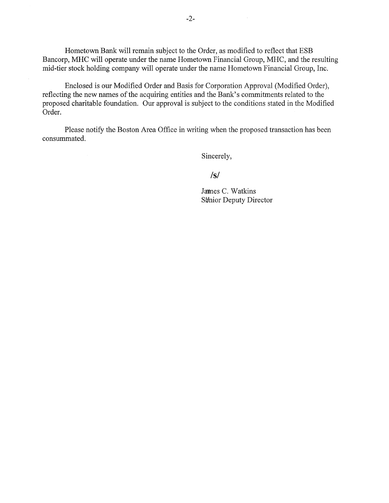Hometown Bank will remain subject to the Order, as modified to reflect that ESB Bancorp, MHC will operate under the name Hometown Financial Group, MHC, and the resulting mid-tier stock holding company will operate under the name Hometown Financial Group, Inc,

Enclosed is our Modified Order and Basis for Corporation Approval (Modified Order), reflecting the new names of the acquiring entities and the Bank's commitments related to the proposed charitable foundation. Our approval is subject to the conditions stated in the Modified Order.

Please notify the Boston Area Office in writing when the proposed transaction has been consummated.

Sincerely,

## **/s/**

James C. Watkins Sthior Deputy Director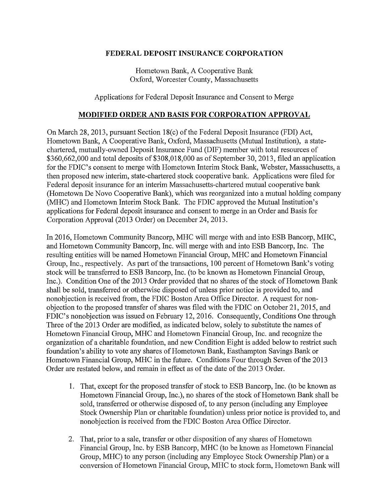## **FEDERAL DEPOSIT INSURANCE CORPORATION**

Hometown Bank, A Cooperative Bank Oxford, Worcester County, Massachusetts

Applications for Federal Deposit Insurance and Consent to Merge

## **MODIFIED ORDER AND BASIS FOR CORPORATION APPROVAL**

On March 28,2013, pursuant Section 18(c) of the Federal Deposit Insurance (FDI) Act, Hometown Bank, A Cooperative Bank, Oxford, Massachusetts (Mutual Institution), a statechartered, mutually-owned Deposit Insurance Fund (DIF) member with total resources of \$360,662,000 and total deposits of \$308,018,000 as of September 30, 2013, filed an application for the FDIC's consent to merge with Hometown Interim Stock Bank, Webster, Massachusetts, a then proposed new interim, state-chartered stock cooperative bank. Applications were filed for Federal deposit insurance for an interim Massachusetts-chartered mutual cooperative bank (Hometown De Novo Cooperative Bank), which was reorganized into a mutual holding company (MHC) and Hometown Interim Stock Bank. The FDIC approved the Mutual Institution's applications for Federal deposit insurance and consent to merge in an Order and Basis for Corporation Approval (2013 Order) on December 24,2013.

In 2016, Hometown Community Bancorp, MHC will merge with and into ESB Bancorp, MHC, and Hometown Community Bancorp, Inc. will merge with and into ESB Bancorp, Inc. The resulting entities will be named Hometown Financial Group, MHC and Hometown Financial Group, Inc., respectively. As part of the transactions, 100 percent of Hometown Bank's voting stock will be transferred to ESB Bancorp, Inc. (to be known as Hometown Financial Group, Inc.). Condition One of the 2013 Order provided that no shares of the stock of Hometown Bank shall be sold, transferred or otherwise disposed of unless prior notice is provided to, and nonobjection is received from, the FDIC Boston Area Office Director. A request for nonobjection to the proposed transfer of shares was filed with the FDIC on October 21, 2015, and FDIC's nonobjection was issued on February 12, 2016. Consequently, Conditions One through Three of the 2013 Order are modified, as indicated below, solely to substitute the names of Hometown Financial Group, MHC and Hometown Financial Group, Inc. and recognize the organization of a charitable foundation, and new Condition Eight is added below to restrict such foundation's ability to vote any shares of Hometown Bank, Easthampton Savings Bank or Hometown Financial Group, MHC in the future. Conditions Four through Seven of the 2013 Order are restated below, and remain in effect as of the date of the 2013 Order.

- 1. That, except for the proposed transfer of stock to ESB Bancorp, Inc. (to be known as Hometown Financial Group, Inc.), no shares of the stock of Hometown Bank shall be sold, transferred or otherwise disposed of, to any person (including any Employee Stock Ownership Plan or charitable foundation) unless prior notice is provided to, and nonobjection is received from the FDIC Boston Area Office Director.
- 2. That, prior to a sale, transfer or other disposition of any shares of Hometown Financial Group, Inc. by ESB Bancorp, MHC (to be known as Hometown Financial Group, MHC) to any person (including any Employee Stock Ownership Plan) or a conversion of Hometown Financial Group, MHC to stock form, Hometown Bank will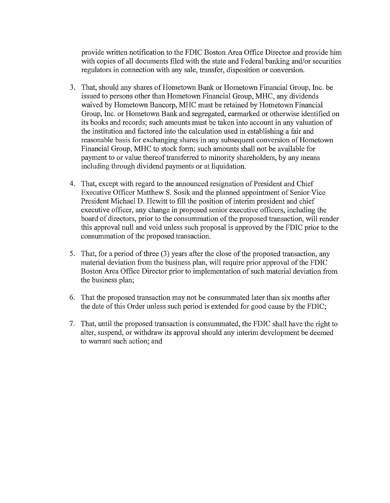provide written notification to the FDIC Boston Area Office Director and provide him with copies of all documents filed with the state and Federal banking and/or securities regulators in connection with any sale, transfer, disposition or conversion.

- 3. That, should any shares of Hometown Bank or Hometown Financial Group, Inc. be issued to persons other than Hometown Financial Group, MHC, any dividends waived by Hometown Bancorp, MHC must be retained by Hometown Financial Group, Inc. or Hometown Bank and segregated, earmarked or otherwise identified on its books and records; such amounts must be taken into account in any valuation of the institution and factored into the calculation used in establishing a fair and reasonable basis for exchanging shares in any subsequent conversion of Hometown Financial Group, MHC to stock form; such amounts shall not be available for payment to or value thereof transferred to minority shareholders, by any means including through dividend payments or at liquidation.
- 4. That, except with regard to the announced resignation of President and Chief Executive Officer MatthewS. Sosik and the planned appointment of Senior Vice President Michael D. Hewitt to fill the position of interim president and chief executive officer, any change in proposed senior executive officers, including the board of directors, prior to the consummation of the proposed transaction, will render this approval null and void unless such proposal is approved by the FDIC prior to the consummation of the proposed transaction.
- 5. That, for a period of three (3) years after the close of the proposed transaction, any material deviation from the business plan, will require prior approval of the FDIC Boston Area Office Director prior to implementation of such material deviation from the business plan;
- 6. That the proposed transaction may not be consummated later than six months after the date of this Order unless such period is extended for good cause by the FDIC;
- 7. That, until the proposed transaction is consummated, the FDIC shall have the right to alter, suspend, or withdraw its approval should any interim development be deemed to warrant such action; and